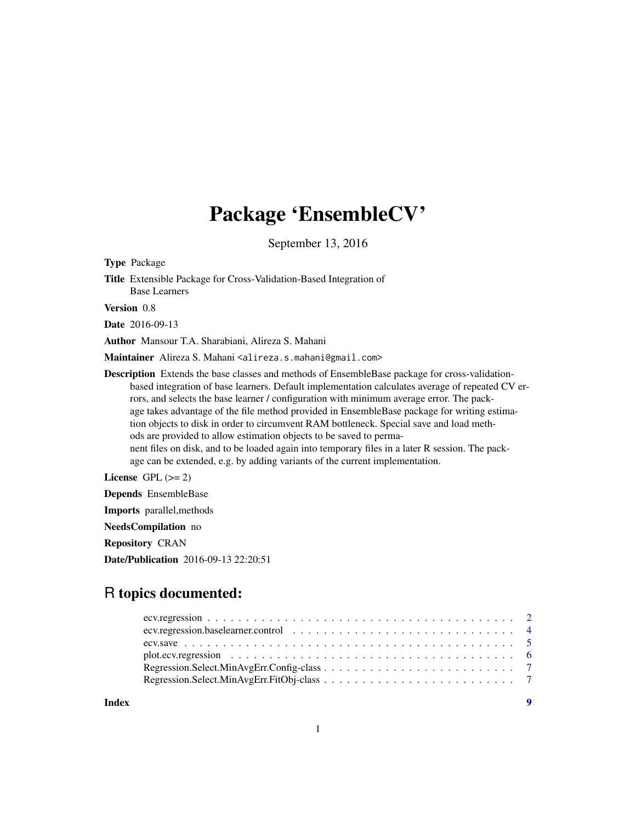# Package 'EnsembleCV'

September 13, 2016

<span id="page-0-0"></span>Type Package

Title Extensible Package for Cross-Validation-Based Integration of Base Learners

Version 0.8

Date 2016-09-13

Author Mansour T.A. Sharabiani, Alireza S. Mahani

Maintainer Alireza S. Mahani <alireza.s.mahani@gmail.com>

Description Extends the base classes and methods of EnsembleBase package for cross-validationbased integration of base learners. Default implementation calculates average of repeated CV errors, and selects the base learner / configuration with minimum average error. The package takes advantage of the file method provided in EnsembleBase package for writing estimation objects to disk in order to circumvent RAM bottleneck. Special save and load methods are provided to allow estimation objects to be saved to permanent files on disk, and to be loaded again into temporary files in a later R session. The package can be extended, e.g. by adding variants of the current implementation.

License GPL  $(>= 2)$ 

Depends EnsembleBase

Imports parallel,methods NeedsCompilation no

Repository CRAN

Date/Publication 2016-09-13 22:20:51

# R topics documented:

**Index** [9](#page-8-0)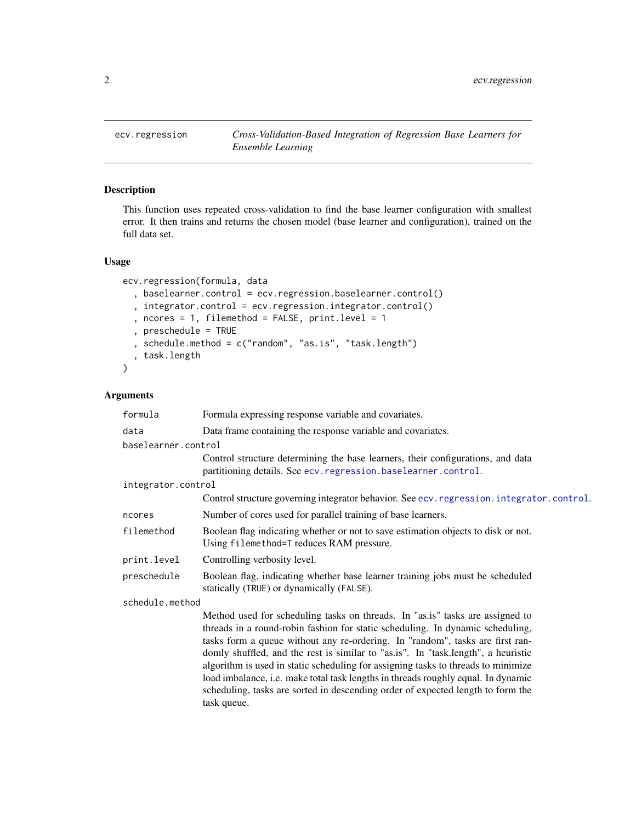<span id="page-1-1"></span><span id="page-1-0"></span>

# Description

This function uses repeated cross-validation to find the base learner configuration with smallest error. It then trains and returns the chosen model (base learner and configuration), trained on the full data set.

# Usage

```
ecv.regression(formula, data
  , baselearner.control = ecv.regression.baselearner.control()
  , integrator.control = ecv.regression.integrator.control()
  , ncores = 1, filemethod = FALSE, print.level = 1
  , preschedule = TRUE
  , schedule.method = c("random", "as.is", "task.length")
  , task.length
\mathcal{L}
```
# Arguments

| formula             | Formula expressing response variable and covariates.                                                                                                                                                                                                                                                                                                                                                                                                                                                                                                                                               |
|---------------------|----------------------------------------------------------------------------------------------------------------------------------------------------------------------------------------------------------------------------------------------------------------------------------------------------------------------------------------------------------------------------------------------------------------------------------------------------------------------------------------------------------------------------------------------------------------------------------------------------|
| data                | Data frame containing the response variable and covariates.                                                                                                                                                                                                                                                                                                                                                                                                                                                                                                                                        |
| baselearner.control |                                                                                                                                                                                                                                                                                                                                                                                                                                                                                                                                                                                                    |
|                     | Control structure determining the base learners, their configurations, and data<br>partitioning details. See ecv. regression. baselearner. control.                                                                                                                                                                                                                                                                                                                                                                                                                                                |
| integrator.control  |                                                                                                                                                                                                                                                                                                                                                                                                                                                                                                                                                                                                    |
|                     | Control structure governing integrator behavior. See ecv. regression. integrator.control.                                                                                                                                                                                                                                                                                                                                                                                                                                                                                                          |
| ncores              | Number of cores used for parallel training of base learners.                                                                                                                                                                                                                                                                                                                                                                                                                                                                                                                                       |
| filemethod          | Boolean flag indicating whether or not to save estimation objects to disk or not.<br>Using filemethod=T reduces RAM pressure.                                                                                                                                                                                                                                                                                                                                                                                                                                                                      |
| print.level         | Controlling verbosity level.                                                                                                                                                                                                                                                                                                                                                                                                                                                                                                                                                                       |
| preschedule         | Boolean flag, indicating whether base learner training jobs must be scheduled<br>statically (TRUE) or dynamically (FALSE).                                                                                                                                                                                                                                                                                                                                                                                                                                                                         |
| schedule.method     |                                                                                                                                                                                                                                                                                                                                                                                                                                                                                                                                                                                                    |
|                     | Method used for scheduling tasks on threads. In "as.is" tasks are assigned to<br>threads in a round-robin fashion for static scheduling. In dynamic scheduling,<br>tasks form a queue without any re-ordering. In "random", tasks are first ran-<br>domly shuffled, and the rest is similar to "as.is". In "task.length", a heuristic<br>algorithm is used in static scheduling for assigning tasks to threads to minimize<br>load imbalance, i.e. make total task lengths in threads roughly equal. In dynamic<br>scheduling, tasks are sorted in descending order of expected length to form the |

task queue.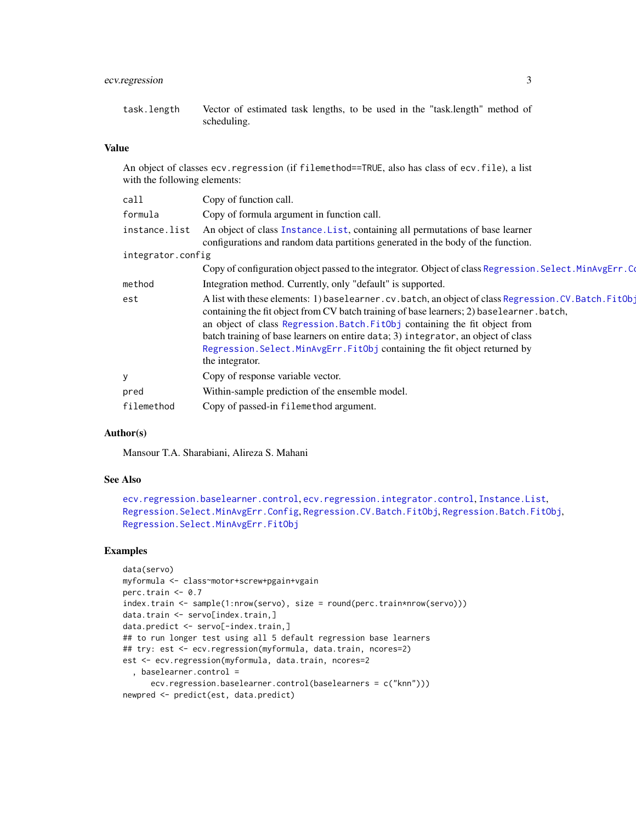# <span id="page-2-0"></span>ecv.regression 3

# Value

An object of classes ecv. regression (if filemethod==TRUE, also has class of ecv.file), a list with the following elements:

| Copy of function call.                                                                                                                                                                                                                                                                                                                                                                                                                                                 |  |  |  |  |  |  |  |
|------------------------------------------------------------------------------------------------------------------------------------------------------------------------------------------------------------------------------------------------------------------------------------------------------------------------------------------------------------------------------------------------------------------------------------------------------------------------|--|--|--|--|--|--|--|
| Copy of formula argument in function call.                                                                                                                                                                                                                                                                                                                                                                                                                             |  |  |  |  |  |  |  |
| An object of class Instance. List, containing all permutations of base learner<br>instance.list<br>configurations and random data partitions generated in the body of the function.                                                                                                                                                                                                                                                                                    |  |  |  |  |  |  |  |
| integrator.config                                                                                                                                                                                                                                                                                                                                                                                                                                                      |  |  |  |  |  |  |  |
| Copy of configuration object passed to the integrator. Object of class Regression. Select. MinAvgErr. Co                                                                                                                                                                                                                                                                                                                                                               |  |  |  |  |  |  |  |
| Integration method. Currently, only "default" is supported.                                                                                                                                                                                                                                                                                                                                                                                                            |  |  |  |  |  |  |  |
| A list with these elements: 1) baselearner.cv.batch, an object of class Regression.CV.Batch.FitObj<br>containing the fit object from CV batch training of base learners; 2) baselearner . batch,<br>an object of class Regression. Batch. FitObj containing the fit object from<br>batch training of base learners on entire data; 3) integrator, an object of class<br>Regression. Select. MinAvgErr. FitObj containing the fit object returned by<br>the integrator. |  |  |  |  |  |  |  |
| Copy of response variable vector.                                                                                                                                                                                                                                                                                                                                                                                                                                      |  |  |  |  |  |  |  |
| Within-sample prediction of the ensemble model.                                                                                                                                                                                                                                                                                                                                                                                                                        |  |  |  |  |  |  |  |
| Copy of passed-in filemethod argument.                                                                                                                                                                                                                                                                                                                                                                                                                                 |  |  |  |  |  |  |  |
|                                                                                                                                                                                                                                                                                                                                                                                                                                                                        |  |  |  |  |  |  |  |

# Author(s)

Mansour T.A. Sharabiani, Alireza S. Mahani

#### See Also

```
ecv.regression.baselearner.control, ecv.regression.integrator.control, Instance.List,
Regression.Select.MinAvgErr.Config, Regression.CV.Batch.FitObj, Regression.Batch.FitObj,
Regression.Select.MinAvgErr.FitObj
```
#### Examples

```
data(servo)
myformula <- class~motor+screw+pgain+vgain
perc.train <-0.7index.train <- sample(1:nrow(servo), size = round(perc.train*nrow(servo)))
data.train <- servo[index.train,]
data.predict <- servo[-index.train,]
## to run longer test using all 5 default regression base learners
## try: est <- ecv.regression(myformula, data.train, ncores=2)
est <- ecv.regression(myformula, data.train, ncores=2
  , baselearner.control =
     ecv.regression.baselearner.control(baselearners = c("knn")))
newpred <- predict(est, data.predict)
```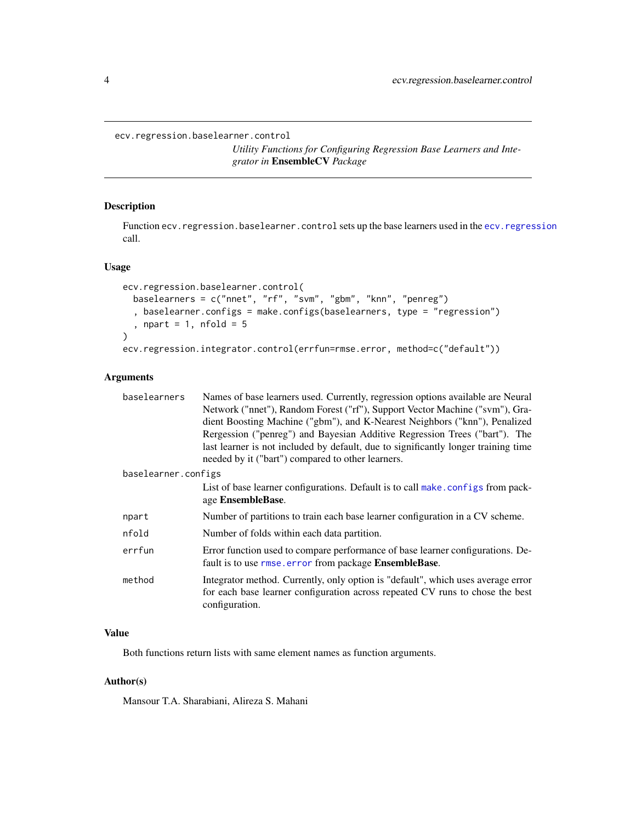<span id="page-3-1"></span><span id="page-3-0"></span>ecv.regression.baselearner.control

*Utility Functions for Configuring Regression Base Learners and Integrator in* EnsembleCV *Package*

# <span id="page-3-2"></span>Description

Function ecv. regression.baselearner.control sets up the base learners used in the ecv. regression call.

#### Usage

```
ecv.regression.baselearner.control(
  baselearners = c("nnet", "rf", "svm", "gbm", "knn", "penreg")
  , baselearner.configs = make.configs(baselearners, type = "regression")
  , npart = 1, nfold = 5\mathcal{L}ecv.regression.integrator.control(errfun=rmse.error, method=c("default"))
```
# Arguments

| baselearners        | Names of base learners used. Currently, regression options available are Neural    |  |  |  |  |  |
|---------------------|------------------------------------------------------------------------------------|--|--|--|--|--|
|                     | Network ("nnet"), Random Forest ("rf"), Support Vector Machine ("svm"), Gra-       |  |  |  |  |  |
|                     | dient Boosting Machine ("gbm"), and K-Nearest Neighbors ("knn"), Penalized         |  |  |  |  |  |
|                     | Rergession ("penreg") and Bayesian Additive Regression Trees ("bart"). The         |  |  |  |  |  |
|                     | last learner is not included by default, due to significantly longer training time |  |  |  |  |  |
|                     | needed by it ("bart") compared to other learners.                                  |  |  |  |  |  |
| baselearner.configs |                                                                                    |  |  |  |  |  |
|                     | List of base learner configurations. Default is to call make, configs from pack-   |  |  |  |  |  |
|                     | age EnsembleBase.                                                                  |  |  |  |  |  |
| npart               | Number of partitions to train each base learner configuration in a CV scheme.      |  |  |  |  |  |
| nfold               | Number of folds within each data partition.                                        |  |  |  |  |  |
| errfun              | Error function used to compare performance of base learner configurations. De-     |  |  |  |  |  |
|                     | fault is to use rmse. error from package EnsembleBase.                             |  |  |  |  |  |
| method              | Integrator method. Currently, only option is "default", which uses average error   |  |  |  |  |  |
|                     | for each base learner configuration across repeated CV runs to chose the best      |  |  |  |  |  |
|                     | configuration.                                                                     |  |  |  |  |  |

# Value

Both functions return lists with same element names as function arguments.

#### Author(s)

Mansour T.A. Sharabiani, Alireza S. Mahani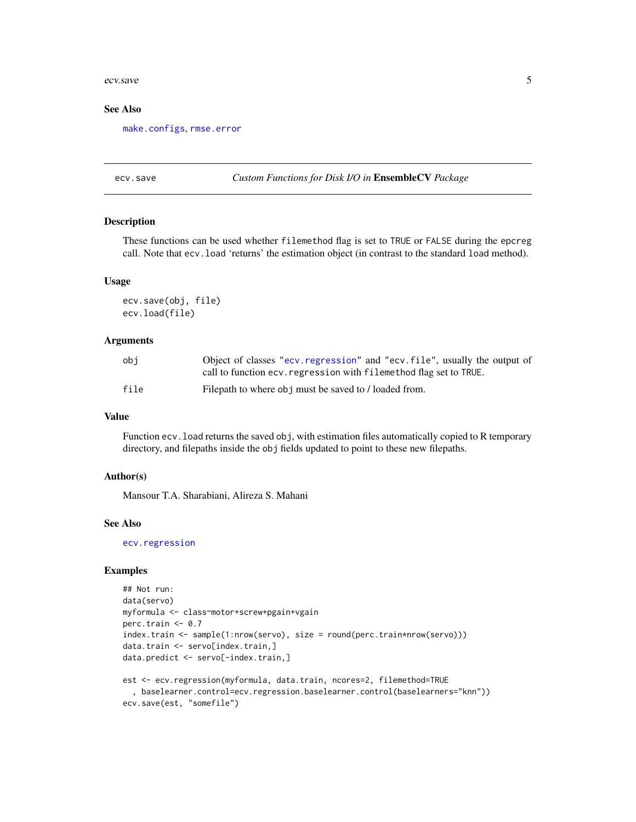#### <span id="page-4-0"></span>ecv.save 5

#### See Also

[make.configs](#page-0-0), [rmse.error](#page-0-0)

#### ecv.save *Custom Functions for Disk I/O in* EnsembleCV *Package*

#### Description

These functions can be used whether filemethod flag is set to TRUE or FALSE during the epcreg call. Note that ecv.load 'returns' the estimation object (in contrast to the standard load method).

#### Usage

```
ecv.save(obj, file)
ecv.load(file)
```
#### Arguments

| obi  | Object of classes "ecv. regression" and "ecv. file", usually the output of |
|------|----------------------------------------------------------------------------|
|      | call to function ecv. regression with filemethod flag set to TRUE.         |
| file | Filepath to where obj must be saved to / loaded from.                      |

# Value

Function ecv.load returns the saved obj, with estimation files automatically copied to R temporary directory, and filepaths inside the obj fields updated to point to these new filepaths.

#### Author(s)

Mansour T.A. Sharabiani, Alireza S. Mahani

#### See Also

[ecv.regression](#page-1-1)

# Examples

```
## Not run:
data(servo)
myformula <- class~motor+screw+pgain+vgain
perc.train <- 0.7
index.train <- sample(1:nrow(servo), size = round(perc.train*nrow(servo)))
data.train <- servo[index.train,]
data.predict <- servo[-index.train,]
```

```
est <- ecv.regression(myformula, data.train, ncores=2, filemethod=TRUE
  , baselearner.control=ecv.regression.baselearner.control(baselearners="knn"))
ecv.save(est, "somefile")
```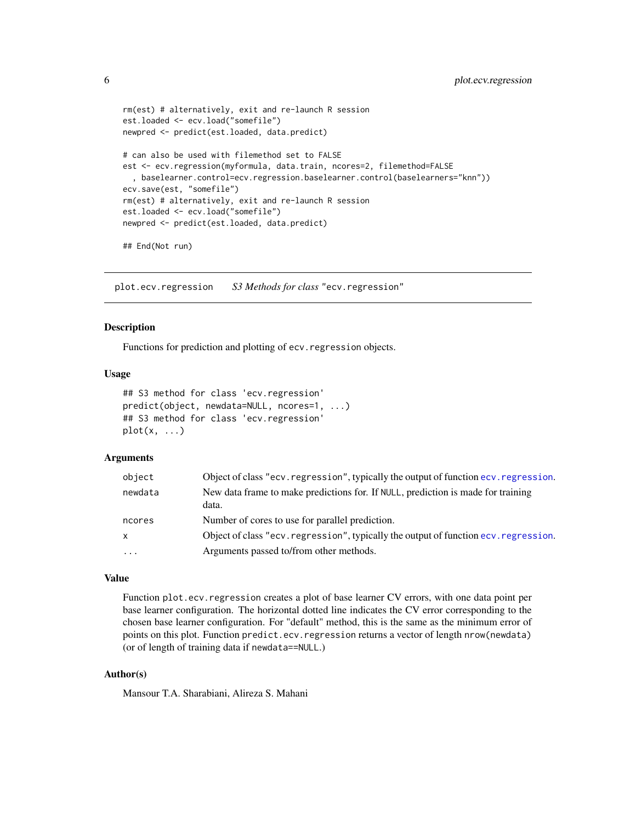```
rm(est) # alternatively, exit and re-launch R session
est.loaded <- ecv.load("somefile")
newpred <- predict(est.loaded, data.predict)
# can also be used with filemethod set to FALSE
est <- ecv.regression(myformula, data.train, ncores=2, filemethod=FALSE
  , baselearner.control=ecv.regression.baselearner.control(baselearners="knn"))
ecv.save(est, "somefile")
rm(est) # alternatively, exit and re-launch R session
est.loaded <- ecv.load("somefile")
newpred <- predict(est.loaded, data.predict)
## End(Not run)
```
plot.ecv.regression *S3 Methods for class* "ecv.regression"

# Description

Functions for prediction and plotting of ecv.regression objects.

#### Usage

```
## S3 method for class 'ecv.regression'
predict(object, newdata=NULL, ncores=1, ...)
## S3 method for class 'ecv.regression'
plot(x, \ldots)
```
#### Arguments

| object       | Object of class "ecv. regression", typically the output of function ecv. regression.      |
|--------------|-------------------------------------------------------------------------------------------|
| newdata      | New data frame to make predictions for. If NULL, prediction is made for training<br>data. |
| ncores       | Number of cores to use for parallel prediction.                                           |
| $\mathsf{x}$ | Object of class "ecv. regression", typically the output of function ecv. regression.      |
| $\cdots$     | Arguments passed to/from other methods.                                                   |

#### Value

Function plot.ecv.regression creates a plot of base learner CV errors, with one data point per base learner configuration. The horizontal dotted line indicates the CV error corresponding to the chosen base learner configuration. For "default" method, this is the same as the minimum error of points on this plot. Function predict.ecv.regression returns a vector of length nrow(newdata) (or of length of training data if newdata==NULL.)

# Author(s)

Mansour T.A. Sharabiani, Alireza S. Mahani

<span id="page-5-0"></span>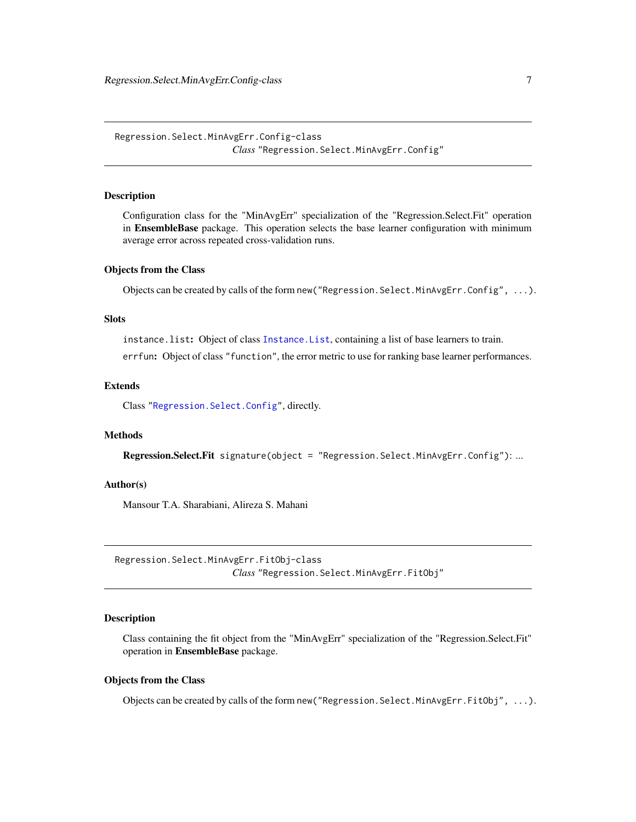<span id="page-6-1"></span><span id="page-6-0"></span>Regression.Select.MinAvgErr.Config-class *Class* "Regression.Select.MinAvgErr.Config"

#### Description

Configuration class for the "MinAvgErr" specialization of the "Regression.Select.Fit" operation in EnsembleBase package. This operation selects the base learner configuration with minimum average error across repeated cross-validation runs.

#### Objects from the Class

Objects can be created by calls of the form new("Regression.Select.MinAvgErr.Config", ...).

#### **Slots**

instance.list: Object of class [Instance.List](#page-0-0), containing a list of base learners to train. errfun: Object of class "function", the error metric to use for ranking base learner performances.

#### Extends

Class ["Regression.Select.Config"](#page-0-0), directly.

#### Methods

Regression.Select.Fit signature(object = "Regression.Select.MinAvgErr.Config"): ...

#### Author(s)

Mansour T.A. Sharabiani, Alireza S. Mahani

<span id="page-6-2"></span>Regression.Select.MinAvgErr.FitObj-class *Class* "Regression.Select.MinAvgErr.FitObj"

#### Description

Class containing the fit object from the "MinAvgErr" specialization of the "Regression.Select.Fit" operation in EnsembleBase package.

# Objects from the Class

Objects can be created by calls of the form new("Regression.Select.MinAvgErr.FitObj", ...).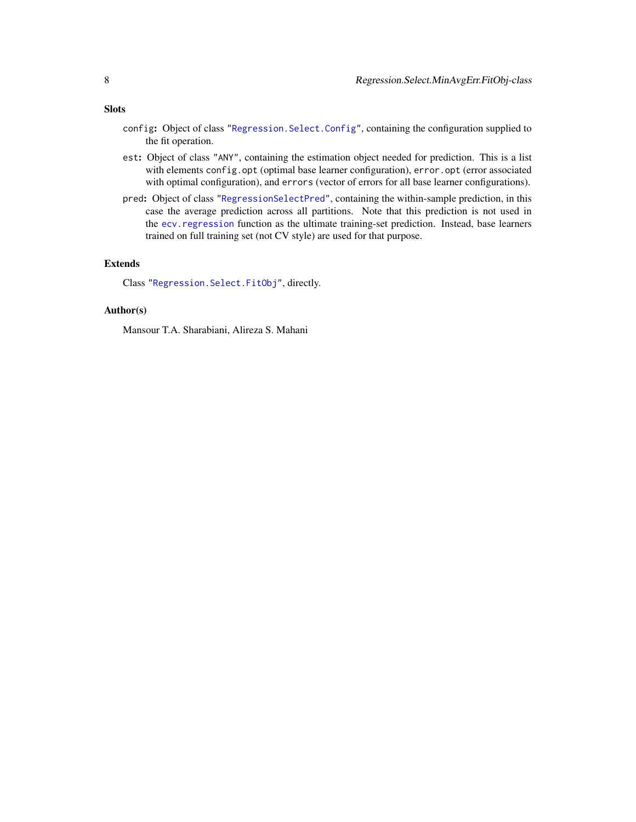- config: Object of class ["Regression.Select.Config"](#page-0-0), containing the configuration supplied to the fit operation.
- est: Object of class "ANY", containing the estimation object needed for prediction. This is a list with elements config.opt (optimal base learner configuration), error.opt (error associated with optimal configuration), and errors (vector of errors for all base learner configurations).
- pred: Object of class ["RegressionSelectPred"](#page-0-0), containing the within-sample prediction, in this case the average prediction across all partitions. Note that this prediction is not used in the ecv. regression function as the ultimate training-set prediction. Instead, base learners trained on full training set (not CV style) are used for that purpose.

# Extends

Class ["Regression.Select.FitObj"](#page-0-0), directly.

### Author(s)

Mansour T.A. Sharabiani, Alireza S. Mahani

#### <span id="page-7-0"></span>Slots